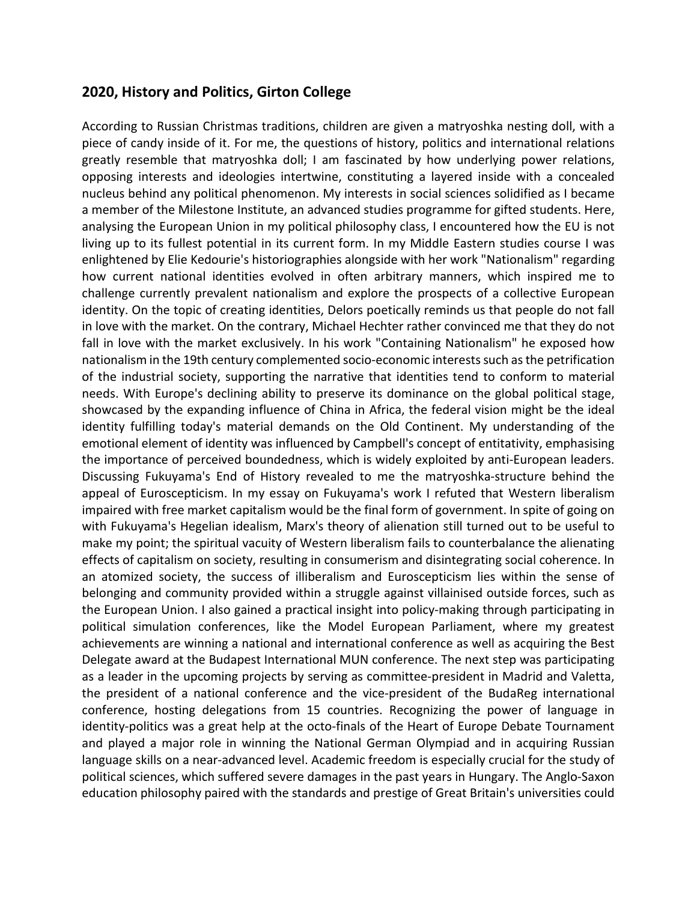## **2020, History and Politics, Girton College**

According to Russian Christmas traditions, children are given a matryoshka nesting doll, with a piece of candy inside of it. For me, the questions of history, politics and international relations greatly resemble that matryoshka doll; I am fascinated by how underlying power relations, opposing interests and ideologies intertwine, constituting a layered inside with a concealed nucleus behind any political phenomenon. My interests in social sciences solidified as I became a member of the Milestone Institute, an advanced studies programme for gifted students. Here, analysing the European Union in my political philosophy class, I encountered how the EU is not living up to its fullest potential in its current form. In my Middle Eastern studies course I was enlightened by Elie Kedourie's historiographies alongside with her work "Nationalism" regarding how current national identities evolved in often arbitrary manners, which inspired me to challenge currently prevalent nationalism and explore the prospects of a collective European identity. On the topic of creating identities, Delors poetically reminds us that people do not fall in love with the market. On the contrary, Michael Hechter rather convinced me that they do not fall in love with the market exclusively. In his work "Containing Nationalism" he exposed how nationalism in the 19th century complemented socio-economic interests such as the petrification of the industrial society, supporting the narrative that identities tend to conform to material needs. With Europe's declining ability to preserve its dominance on the global political stage, showcased by the expanding influence of China in Africa, the federal vision might be the ideal identity fulfilling today's material demands on the Old Continent. My understanding of the emotional element of identity was influenced by Campbell's concept of entitativity, emphasising the importance of perceived boundedness, which is widely exploited by anti-European leaders. Discussing Fukuyama's End of History revealed to me the matryoshka-structure behind the appeal of Euroscepticism. In my essay on Fukuyama's work I refuted that Western liberalism impaired with free market capitalism would be the final form of government. In spite of going on with Fukuyama's Hegelian idealism, Marx's theory of alienation still turned out to be useful to make my point; the spiritual vacuity of Western liberalism fails to counterbalance the alienating effects of capitalism on society, resulting in consumerism and disintegrating social coherence. In an atomized society, the success of illiberalism and Euroscepticism lies within the sense of belonging and community provided within a struggle against villainised outside forces, such as the European Union. I also gained a practical insight into policy-making through participating in political simulation conferences, like the Model European Parliament, where my greatest achievements are winning a national and international conference as well as acquiring the Best Delegate award at the Budapest International MUN conference. The next step was participating as a leader in the upcoming projects by serving as committee-president in Madrid and Valetta, the president of a national conference and the vice-president of the BudaReg international conference, hosting delegations from 15 countries. Recognizing the power of language in identity-politics was a great help at the octo-finals of the Heart of Europe Debate Tournament and played a major role in winning the National German Olympiad and in acquiring Russian language skills on a near-advanced level. Academic freedom is especially crucial for the study of political sciences, which suffered severe damages in the past years in Hungary. The Anglo-Saxon education philosophy paired with the standards and prestige of Great Britain's universities could